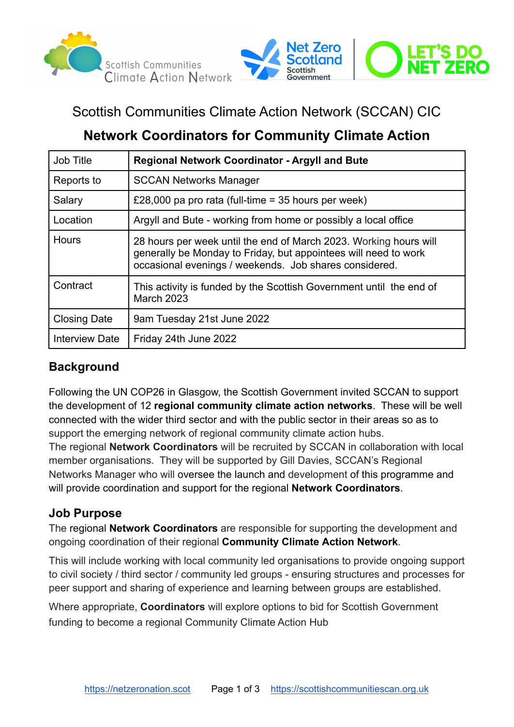



# Scottish Communities Climate Action Network (SCCAN) CIC

# **Network Coordinators for Community Climate Action**

| Job Title             | <b>Regional Network Coordinator - Argyll and Bute</b>                                                                                                                                          |
|-----------------------|------------------------------------------------------------------------------------------------------------------------------------------------------------------------------------------------|
| Reports to            | <b>SCCAN Networks Manager</b>                                                                                                                                                                  |
| Salary                | £28,000 pa pro rata (full-time = 35 hours per week)                                                                                                                                            |
| Location              | Argyll and Bute - working from home or possibly a local office                                                                                                                                 |
| <b>Hours</b>          | 28 hours per week until the end of March 2023. Working hours will<br>generally be Monday to Friday, but appointees will need to work<br>occasional evenings / weekends. Job shares considered. |
| Contract              | This activity is funded by the Scottish Government until the end of<br><b>March 2023</b>                                                                                                       |
| <b>Closing Date</b>   | 9am Tuesday 21st June 2022                                                                                                                                                                     |
| <b>Interview Date</b> | Friday 24th June 2022                                                                                                                                                                          |

## **Background**

Following the UN COP26 in Glasgow, the Scottish Government invited SCCAN to support the development of 12 **regional community climate action networks**. These will be well connected with the wider third sector and with the public sector in their areas so as to support the emerging network of regional community climate action hubs.

The regional **Network Coordinators** will be recruited by SCCAN in collaboration with local member organisations. They will be supported by Gill Davies, SCCAN's Regional Networks Manager who will oversee the launch and development of this programme and will provide coordination and support for the regional **Network Coordinators**.

## **Job Purpose**

The regional **Network Coordinators** are responsible for supporting the development and ongoing coordination of their regional **Community Climate Action Network**.

This will include working with local community led organisations to provide ongoing support to civil society / third sector / community led groups - ensuring structures and processes for peer support and sharing of experience and learning between groups are established.

Where appropriate, **Coordinators** will explore options to bid for Scottish Government funding to become a regional Community Climate Action Hub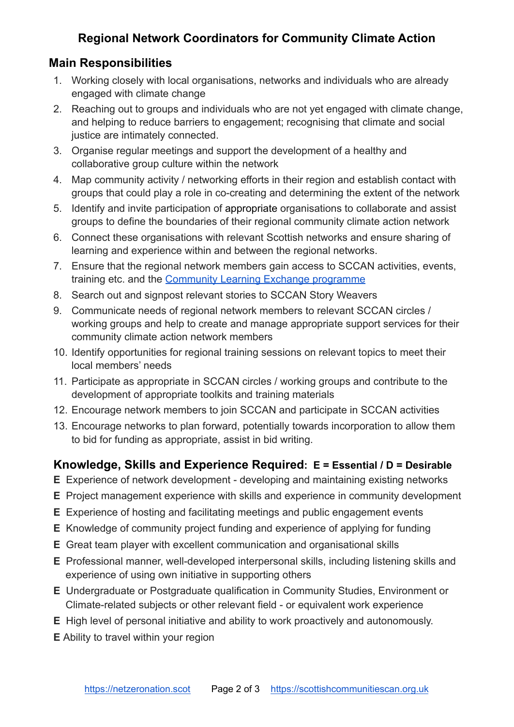## **Regional Network Coordinators for Community Climate Action**

### **Main Responsibilities**

- 1. Working closely with local organisations, networks and individuals who are already engaged with climate change
- 2. Reaching out to groups and individuals who are not yet engaged with climate change, and helping to reduce barriers to engagement; recognising that climate and social justice are intimately connected.
- 3. Organise regular meetings and support the development of a healthy and collaborative group culture within the network
- 4. Map community activity / networking efforts in their region and establish contact with groups that could play a role in co-creating and determining the extent of the network
- 5. Identify and invite participation of appropriate organisations to collaborate and assist groups to define the boundaries of their regional community climate action network
- 6. Connect these organisations with relevant Scottish networks and ensure sharing of learning and experience within and between the regional networks.
- 7. Ensure that the regional network members gain access to SCCAN activities, events, training etc. and the [Community Learning Exchange](https://www.scottishcommunitiescan.org.uk/community-learning-exchange/) programme
- 8. Search out and signpost relevant stories to SCCAN Story Weavers
- 9. Communicate needs of regional network members to relevant SCCAN circles / working groups and help to create and manage appropriate support services for their community climate action network members
- 10. Identify opportunities for regional training sessions on relevant topics to meet their local members' needs
- 11. Participate as appropriate in SCCAN circles / working groups and contribute to the development of appropriate toolkits and training materials
- 12. Encourage network members to join SCCAN and participate in SCCAN activities
- 13. Encourage networks to plan forward, potentially towards incorporation to allow them to bid for funding as appropriate, assist in bid writing.

## **Knowledge, Skills and Experience Required: E = Essential / D = Desirable**

- **E** Experience of network development developing and maintaining existing networks
- **E** Project management experience with skills and experience in community development
- **E** Experience of hosting and facilitating meetings and public engagement events
- **E** Knowledge of community project funding and experience of applying for funding
- **E** Great team player with excellent communication and organisational skills
- **E** Professional manner, well-developed interpersonal skills, including listening skills and experience of using own initiative in supporting others
- **E** Undergraduate or Postgraduate qualification in Community Studies, Environment or Climate-related subjects or other relevant field - or equivalent work experience
- **E** High level of personal initiative and ability to work proactively and autonomously.
- **E** Ability to travel within your region